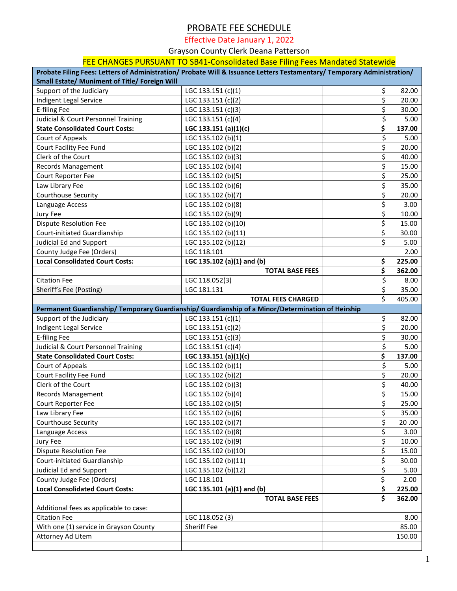## PROBATE FEE SCHEDULE

Effective Date January 1, 2022

Grayson County Clerk Deana Patterson

## FEE CHANGES PURSUANT TO SB41-Consolidated Base Filing Fees Mandated Statewide

| Probate Filing Fees: Letters of Administration/ Probate Will & Issuance Letters Testamentary/ Temporary Administration/<br><b>Small Estate/ Muniment of Title/ Foreign Will</b> |                            |    |        |  |  |  |
|---------------------------------------------------------------------------------------------------------------------------------------------------------------------------------|----------------------------|----|--------|--|--|--|
| Support of the Judiciary                                                                                                                                                        | LGC 133.151 (c)(1)         | \$ | 82.00  |  |  |  |
| Indigent Legal Service                                                                                                                                                          | LGC 133.151 (c)(2)         | \$ | 20.00  |  |  |  |
| <b>E-filing Fee</b>                                                                                                                                                             | LGC 133.151 (c)(3)         | \$ | 30.00  |  |  |  |
| Judicial & Court Personnel Training                                                                                                                                             | LGC 133.151 (c)(4)         | \$ | 5.00   |  |  |  |
| <b>State Consolidated Court Costs:</b>                                                                                                                                          | LGC 133.151 (a)(1)(c)      | \$ | 137.00 |  |  |  |
| Court of Appeals                                                                                                                                                                | LGC 135.102 (b)(1)         | \$ | 5.00   |  |  |  |
| Court Facility Fee Fund                                                                                                                                                         | LGC 135.102 (b)(2)         | \$ | 20.00  |  |  |  |
| Clerk of the Court                                                                                                                                                              | LGC 135.102 (b)(3)         | \$ | 40.00  |  |  |  |
| <b>Records Management</b>                                                                                                                                                       | LGC 135.102 (b)(4)         | \$ | 15.00  |  |  |  |
| Court Reporter Fee                                                                                                                                                              | LGC 135.102 (b)(5)         | \$ | 25.00  |  |  |  |
| Law Library Fee                                                                                                                                                                 | LGC 135.102 (b)(6)         | \$ | 35.00  |  |  |  |
| <b>Courthouse Security</b>                                                                                                                                                      | LGC 135.102 (b)(7)         | \$ | 20.00  |  |  |  |
| Language Access                                                                                                                                                                 | LGC 135.102 (b)(8)         | \$ | 3.00   |  |  |  |
| Jury Fee                                                                                                                                                                        | LGC 135.102 (b)(9)         | \$ | 10.00  |  |  |  |
| <b>Dispute Resolution Fee</b>                                                                                                                                                   | LGC 135.102 (b)(10)        | \$ | 15.00  |  |  |  |
| Court-initiated Guardianship                                                                                                                                                    | LGC 135.102 (b)(11)        | \$ | 30.00  |  |  |  |
| Judicial Ed and Support                                                                                                                                                         | LGC 135.102 (b)(12)        | \$ | 5.00   |  |  |  |
| County Judge Fee (Orders)                                                                                                                                                       | LGC 118.101                |    | 2.00   |  |  |  |
| <b>Local Consolidated Court Costs:</b>                                                                                                                                          | LGC 135.102 (a)(1) and (b) | \$ | 225.00 |  |  |  |
|                                                                                                                                                                                 | <b>TOTAL BASE FEES</b>     | \$ | 362.00 |  |  |  |
| <b>Citation Fee</b>                                                                                                                                                             | LGC 118.052(3)             | \$ | 8.00   |  |  |  |
| Sheriff's Fee (Posting)                                                                                                                                                         | LGC 181.131                | \$ | 35.00  |  |  |  |
|                                                                                                                                                                                 | <b>TOTAL FEES CHARGED</b>  | \$ | 405.00 |  |  |  |
| Permanent Guardianship/ Temporary Guardianship/ Guardianship of a Minor/Determination of Heirship                                                                               |                            |    |        |  |  |  |
| Support of the Judiciary                                                                                                                                                        | LGC 133.151 (c)(1)         | \$ | 82.00  |  |  |  |
| Indigent Legal Service                                                                                                                                                          | LGC 133.151 (c)(2)         | \$ | 20.00  |  |  |  |
| <b>E-filing Fee</b>                                                                                                                                                             | LGC 133.151 (c)(3)         | \$ | 30.00  |  |  |  |
| Judicial & Court Personnel Training                                                                                                                                             | LGC 133.151 (c)(4)         | \$ | 5.00   |  |  |  |
| <b>State Consolidated Court Costs:</b>                                                                                                                                          | LGC 133.151 (a)(1)(c)      | \$ | 137.00 |  |  |  |
| <b>Court of Appeals</b>                                                                                                                                                         | LGC 135.102 (b)(1)         | \$ | 5.00   |  |  |  |
| Court Facility Fee Fund                                                                                                                                                         | LGC 135.102 (b)(2)         | \$ | 20.00  |  |  |  |
| Clerk of the Court                                                                                                                                                              | LGC 135.102 (b)(3)         | \$ | 40.00  |  |  |  |
| Records Management                                                                                                                                                              | LGC 135.102 (b)(4)         | \$ | 15.00  |  |  |  |
| Court Reporter Fee                                                                                                                                                              | LGC 135.102 (b)(5)         | \$ | 25.00  |  |  |  |
| Law Library Fee                                                                                                                                                                 | LGC 135.102 (b)(6)         | \$ | 35.00  |  |  |  |
| <b>Courthouse Security</b>                                                                                                                                                      | LGC 135.102 (b)(7)         | \$ | 20.00  |  |  |  |
| Language Access                                                                                                                                                                 | LGC 135.102 (b)(8)         | \$ | 3.00   |  |  |  |
| Jury Fee                                                                                                                                                                        | LGC 135.102 (b)(9)         | \$ | 10.00  |  |  |  |
| <b>Dispute Resolution Fee</b>                                                                                                                                                   | LGC 135.102 (b)(10)        | \$ | 15.00  |  |  |  |
| Court-initiated Guardianship                                                                                                                                                    | LGC 135.102 (b)(11)        | \$ | 30.00  |  |  |  |
| Judicial Ed and Support                                                                                                                                                         | LGC 135.102 (b)(12)        | \$ | 5.00   |  |  |  |
| County Judge Fee (Orders)                                                                                                                                                       | LGC 118.101                | \$ | 2.00   |  |  |  |
| <b>Local Consolidated Court Costs:</b>                                                                                                                                          | LGC 135.101 (a)(1) and (b) | \$ | 225.00 |  |  |  |
|                                                                                                                                                                                 | <b>TOTAL BASE FEES</b>     | \$ | 362.00 |  |  |  |
| Additional fees as applicable to case:                                                                                                                                          |                            |    |        |  |  |  |
| <b>Citation Fee</b>                                                                                                                                                             | LGC 118.052 (3)            |    | 8.00   |  |  |  |
| With one (1) service in Grayson County                                                                                                                                          |                            |    |        |  |  |  |
|                                                                                                                                                                                 | <b>Sheriff Fee</b>         |    | 85.00  |  |  |  |
| Attorney Ad Litem                                                                                                                                                               |                            |    | 150.00 |  |  |  |